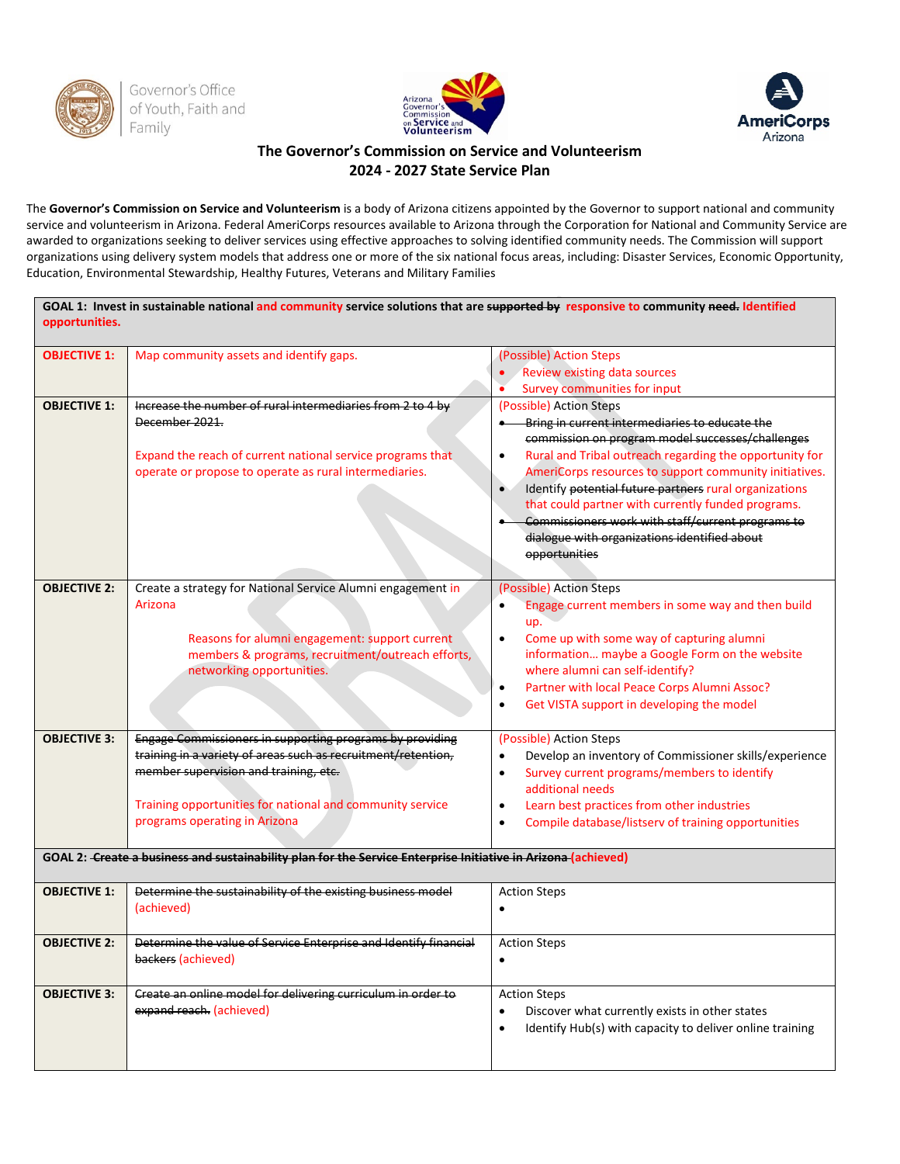





## **The Governor's Commission on Service and Volunteerism 2024 - 2027 State Service Plan**

The **Governor's Commission on Service and Volunteerism** is a body of Arizona citizens appointed by the Governor to support national and community service and volunteerism in Arizona. Federal AmeriCorps resources available to Arizona through the Corporation for National and Community Service are awarded to organizations seeking to deliver services using effective approaches to solving identified community needs. The Commission will support organizations using delivery system models that address one or more of the six national focus areas, including: Disaster Services, Economic Opportunity, Education, Environmental Stewardship, Healthy Futures, Veterans and Military Families

| GOAL 1: Invest in sustainable national and community service solutions that are supported by responsive to community need. Identified<br>opportunities. |                                                                                                               |                                                                       |  |
|---------------------------------------------------------------------------------------------------------------------------------------------------------|---------------------------------------------------------------------------------------------------------------|-----------------------------------------------------------------------|--|
| <b>OBJECTIVE 1:</b>                                                                                                                                     | Map community assets and identify gaps.                                                                       | (Possible) Action Steps                                               |  |
|                                                                                                                                                         |                                                                                                               | Review existing data sources                                          |  |
|                                                                                                                                                         |                                                                                                               | Survey communities for input<br>$\bullet$                             |  |
| <b>OBJECTIVE 1:</b>                                                                                                                                     | Increase the number of rural intermediaries from 2 to 4 by                                                    | (Possible) Action Steps                                               |  |
|                                                                                                                                                         | December 2021.                                                                                                | Bring in current intermediaries to educate the                        |  |
|                                                                                                                                                         |                                                                                                               | commission on program model successes/challenges                      |  |
|                                                                                                                                                         | Expand the reach of current national service programs that                                                    | Rural and Tribal outreach regarding the opportunity for<br>$\bullet$  |  |
|                                                                                                                                                         | operate or propose to operate as rural intermediaries.                                                        | AmeriCorps resources to support community initiatives.                |  |
|                                                                                                                                                         |                                                                                                               | Identify potential future partners rural organizations<br>$\bullet$   |  |
|                                                                                                                                                         |                                                                                                               | that could partner with currently funded programs.                    |  |
|                                                                                                                                                         |                                                                                                               | Commissioners work with staff/current programs to                     |  |
|                                                                                                                                                         |                                                                                                               | dialogue with organizations identified about                          |  |
|                                                                                                                                                         |                                                                                                               | opportunities                                                         |  |
|                                                                                                                                                         |                                                                                                               |                                                                       |  |
| <b>OBJECTIVE 2:</b>                                                                                                                                     | Create a strategy for National Service Alumni engagement in                                                   | (Possible) Action Steps                                               |  |
|                                                                                                                                                         | Arizona                                                                                                       | Engage current members in some way and then build                     |  |
|                                                                                                                                                         |                                                                                                               | up.                                                                   |  |
|                                                                                                                                                         | Reasons for alumni engagement: support current                                                                | Come up with some way of capturing alumni<br>$\bullet$                |  |
|                                                                                                                                                         | members & programs, recruitment/outreach efforts,                                                             | information maybe a Google Form on the website                        |  |
|                                                                                                                                                         | networking opportunities.                                                                                     | where alumni can self-identify?                                       |  |
|                                                                                                                                                         |                                                                                                               | Partner with local Peace Corps Alumni Assoc?<br>$\bullet$             |  |
|                                                                                                                                                         |                                                                                                               | Get VISTA support in developing the model<br>$\bullet$                |  |
| <b>OBJECTIVE 3:</b>                                                                                                                                     | Engage Commissioners in supporting programs by providing                                                      | (Possible) Action Steps                                               |  |
|                                                                                                                                                         | training in a variety of areas such as recruitment/retention,                                                 | Develop an inventory of Commissioner skills/experience<br>$\bullet$   |  |
|                                                                                                                                                         | member supervision and training, etc.                                                                         | Survey current programs/members to identify<br>$\bullet$              |  |
|                                                                                                                                                         |                                                                                                               | additional needs                                                      |  |
|                                                                                                                                                         | Training opportunities for national and community service                                                     | Learn best practices from other industries<br>$\bullet$               |  |
|                                                                                                                                                         | programs operating in Arizona                                                                                 | Compile database/listserv of training opportunities<br>$\bullet$      |  |
|                                                                                                                                                         | GOAL 2: Create a business and sustainability plan for the Service Enterprise Initiative in Arizona (achieved) |                                                                       |  |
| <b>OBJECTIVE 1:</b>                                                                                                                                     | Determine the sustainability of the existing business model                                                   | <b>Action Steps</b>                                                   |  |
|                                                                                                                                                         | (achieved)                                                                                                    | $\bullet$                                                             |  |
|                                                                                                                                                         |                                                                                                               |                                                                       |  |
| <b>OBJECTIVE 2:</b>                                                                                                                                     | Determine the value of Service Enterprise and Identify financial                                              | <b>Action Steps</b>                                                   |  |
|                                                                                                                                                         | backers (achieved)                                                                                            | $\bullet$                                                             |  |
| <b>OBJECTIVE 3:</b>                                                                                                                                     | Create an online model for delivering curriculum in order to                                                  | <b>Action Steps</b>                                                   |  |
|                                                                                                                                                         | expand reach. (achieved)                                                                                      | Discover what currently exists in other states<br>$\bullet$           |  |
|                                                                                                                                                         |                                                                                                               | Identify Hub(s) with capacity to deliver online training<br>$\bullet$ |  |